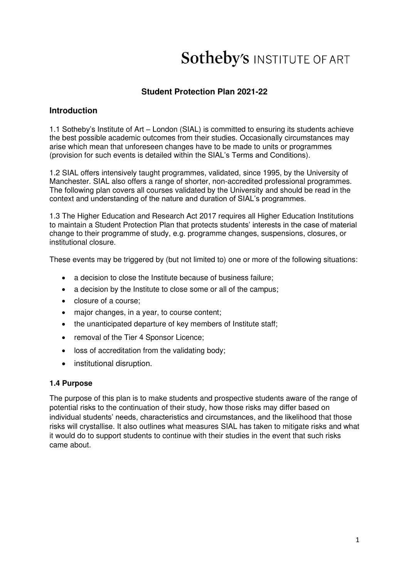# **Sotheby's INSTITUTE OF ART**

## **Student Protection Plan 2021-22**

## **Introduction**

1.1 Sotheby's Institute of Art – London (SIAL) is committed to ensuring its students achieve the best possible academic outcomes from their studies. Occasionally circumstances may arise which mean that unforeseen changes have to be made to units or programmes (provision for such events is detailed within the SIAL's Terms and Conditions).

1.2 SIAL offers intensively taught programmes, validated, since 1995, by the University of Manchester. SIAL also offers a range of shorter, non-accredited professional programmes. The following plan covers all courses validated by the University and should be read in the context and understanding of the nature and duration of SIAL's programmes.

1.3 The Higher Education and Research Act 2017 requires all Higher Education Institutions to maintain a Student Protection Plan that protects students' interests in the case of material change to their programme of study, e.g. programme changes, suspensions, closures, or institutional closure.

These events may be triggered by (but not limited to) one or more of the following situations:

- a decision to close the Institute because of business failure;
- a decision by the Institute to close some or all of the campus;
- closure of a course;
- major changes, in a year, to course content;
- the unanticipated departure of key members of Institute staff:
- removal of the Tier 4 Sponsor Licence;
- loss of accreditation from the validating body;
- institutional disruption.

#### **1.4 Purpose**

The purpose of this plan is to make students and prospective students aware of the range of potential risks to the continuation of their study, how those risks may differ based on individual students' needs, characteristics and circumstances, and the likelihood that those risks will crystallise. It also outlines what measures SIAL has taken to mitigate risks and what it would do to support students to continue with their studies in the event that such risks came about.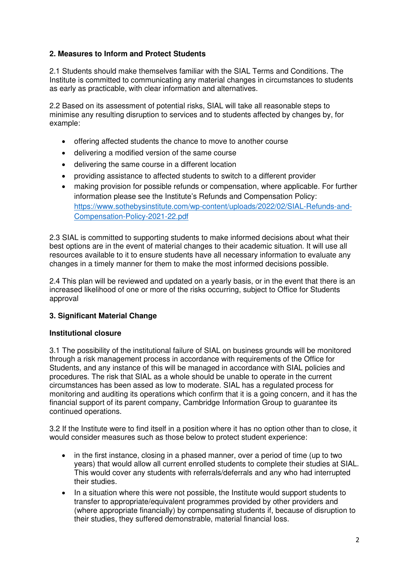## **2. Measures to Inform and Protect Students**

2.1 Students should make themselves familiar with the SIAL Terms and Conditions. The Institute is committed to communicating any material changes in circumstances to students as early as practicable, with clear information and alternatives.

2.2 Based on its assessment of potential risks, SIAL will take all reasonable steps to minimise any resulting disruption to services and to students affected by changes by, for example:

- offering affected students the chance to move to another course
- delivering a modified version of the same course
- delivering the same course in a different location
- providing assistance to affected students to switch to a different provider
- making provision for possible refunds or compensation, where applicable. For further information please see the Institute's Refunds and Compensation Policy: [https://www.sothebysinstitute.com/wp-content/uploads/2022/02/SIAL-Refunds-and-](https://www.sothebysinstitute.com/wp-content/uploads/2022/02/SIAL-Refunds-and-Compensation-Policy-2021-22.pdf)[Compensation-Policy-2021-22.pdf](https://www.sothebysinstitute.com/wp-content/uploads/2022/02/SIAL-Refunds-and-Compensation-Policy-2021-22.pdf)

2.3 SIAL is committed to supporting students to make informed decisions about what their best options are in the event of material changes to their academic situation. It will use all resources available to it to ensure students have all necessary information to evaluate any changes in a timely manner for them to make the most informed decisions possible.

2.4 This plan will be reviewed and updated on a yearly basis, or in the event that there is an increased likelihood of one or more of the risks occurring, subject to Office for Students approval

#### **3. Significant Material Change**

#### **Institutional closure**

3.1 The possibility of the institutional failure of SIAL on business grounds will be monitored through a risk management process in accordance with requirements of the Office for Students, and any instance of this will be managed in accordance with SIAL policies and procedures. The risk that SIAL as a whole should be unable to operate in the current circumstances has been assed as low to moderate. SIAL has a regulated process for monitoring and auditing its operations which confirm that it is a going concern, and it has the financial support of its parent company, Cambridge Information Group to guarantee its continued operations.

3.2 If the Institute were to find itself in a position where it has no option other than to close, it would consider measures such as those below to protect student experience:

- in the first instance, closing in a phased manner, over a period of time (up to two years) that would allow all current enrolled students to complete their studies at SIAL. This would cover any students with referrals/deferrals and any who had interrupted their studies.
- In a situation where this were not possible, the Institute would support students to transfer to appropriate/equivalent programmes provided by other providers and (where appropriate financially) by compensating students if, because of disruption to their studies, they suffered demonstrable, material financial loss.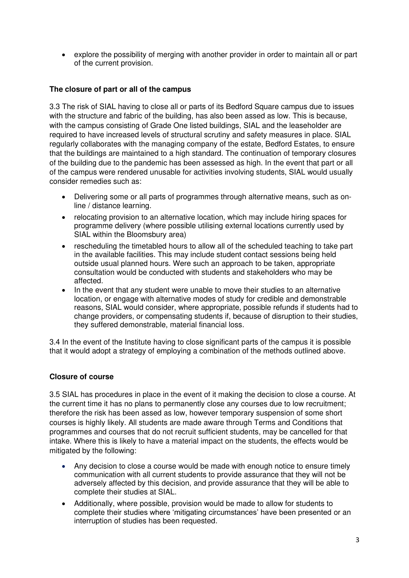• explore the possibility of merging with another provider in order to maintain all or part of the current provision.

## **The closure of part or all of the campus**

3.3 The risk of SIAL having to close all or parts of its Bedford Square campus due to issues with the structure and fabric of the building, has also been assed as low. This is because, with the campus consisting of Grade One listed buildings, SIAL and the leaseholder are required to have increased levels of structural scrutiny and safety measures in place. SIAL regularly collaborates with the managing company of the estate, Bedford Estates, to ensure that the buildings are maintained to a high standard. The continuation of temporary closures of the building due to the pandemic has been assessed as high. In the event that part or all of the campus were rendered unusable for activities involving students, SIAL would usually consider remedies such as:

- Delivering some or all parts of programmes through alternative means, such as online / distance learning.
- relocating provision to an alternative location, which may include hiring spaces for programme delivery (where possible utilising external locations currently used by SIAL within the Bloomsbury area)
- rescheduling the timetabled hours to allow all of the scheduled teaching to take part in the available facilities. This may include student contact sessions being held outside usual planned hours. Were such an approach to be taken, appropriate consultation would be conducted with students and stakeholders who may be affected.
- In the event that any student were unable to move their studies to an alternative location, or engage with alternative modes of study for credible and demonstrable reasons, SIAL would consider, where appropriate, possible refunds if students had to change providers, or compensating students if, because of disruption to their studies, they suffered demonstrable, material financial loss.

3.4 In the event of the Institute having to close significant parts of the campus it is possible that it would adopt a strategy of employing a combination of the methods outlined above.

## **Closure of course**

3.5 SIAL has procedures in place in the event of it making the decision to close a course. At the current time it has no plans to permanently close any courses due to low recruitment; therefore the risk has been assed as low, however temporary suspension of some short courses is highly likely. All students are made aware through Terms and Conditions that programmes and courses that do not recruit sufficient students, may be cancelled for that intake. Where this is likely to have a material impact on the students, the effects would be mitigated by the following:

- Any decision to close a course would be made with enough notice to ensure timely communication with all current students to provide assurance that they will not be adversely affected by this decision, and provide assurance that they will be able to complete their studies at SIAL.
- Additionally, where possible, provision would be made to allow for students to complete their studies where 'mitigating circumstances' have been presented or an interruption of studies has been requested.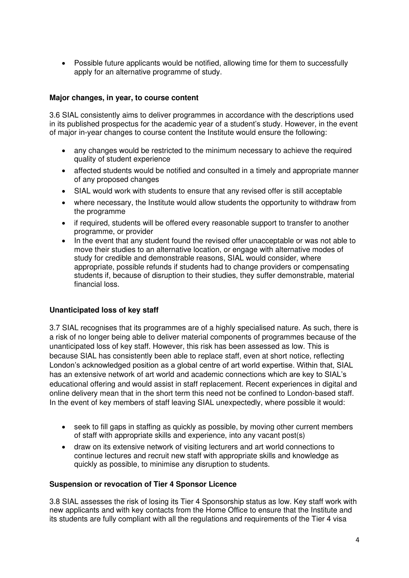• Possible future applicants would be notified, allowing time for them to successfully apply for an alternative programme of study.

### **Major changes, in year, to course content**

3.6 SIAL consistently aims to deliver programmes in accordance with the descriptions used in its published prospectus for the academic year of a student's study. However, in the event of major in-year changes to course content the Institute would ensure the following:

- any changes would be restricted to the minimum necessary to achieve the required quality of student experience
- affected students would be notified and consulted in a timely and appropriate manner of any proposed changes
- SIAL would work with students to ensure that any revised offer is still acceptable
- where necessary, the Institute would allow students the opportunity to withdraw from the programme
- if required, students will be offered every reasonable support to transfer to another programme, or provider
- In the event that any student found the revised offer unacceptable or was not able to move their studies to an alternative location, or engage with alternative modes of study for credible and demonstrable reasons, SIAL would consider, where appropriate, possible refunds if students had to change providers or compensating students if, because of disruption to their studies, they suffer demonstrable, material financial loss.

#### **Unanticipated loss of key staff**

3.7 SIAL recognises that its programmes are of a highly specialised nature. As such, there is a risk of no longer being able to deliver material components of programmes because of the unanticipated loss of key staff. However, this risk has been assessed as low. This is because SIAL has consistently been able to replace staff, even at short notice, reflecting London's acknowledged position as a global centre of art world expertise. Within that, SIAL has an extensive network of art world and academic connections which are key to SIAL's educational offering and would assist in staff replacement. Recent experiences in digital and online delivery mean that in the short term this need not be confined to London-based staff. In the event of key members of staff leaving SIAL unexpectedly, where possible it would:

- seek to fill gaps in staffing as quickly as possible, by moving other current members of staff with appropriate skills and experience, into any vacant post(s)
- draw on its extensive network of visiting lecturers and art world connections to continue lectures and recruit new staff with appropriate skills and knowledge as quickly as possible, to minimise any disruption to students.

#### **Suspension or revocation of Tier 4 Sponsor Licence**

3.8 SIAL assesses the risk of losing its Tier 4 Sponsorship status as low. Key staff work with new applicants and with key contacts from the Home Office to ensure that the Institute and its students are fully compliant with all the regulations and requirements of the Tier 4 visa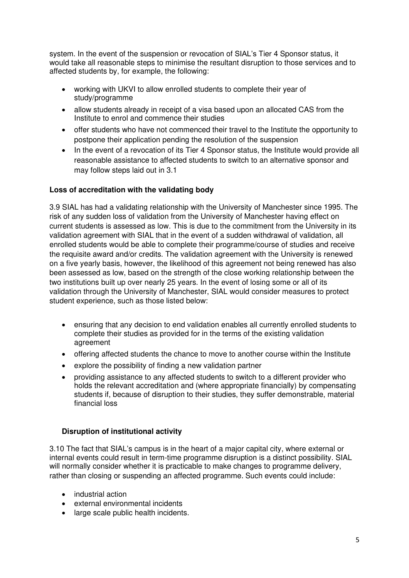system. In the event of the suspension or revocation of SIAL's Tier 4 Sponsor status, it would take all reasonable steps to minimise the resultant disruption to those services and to affected students by, for example, the following:

- working with UKVI to allow enrolled students to complete their year of study/programme
- allow students already in receipt of a visa based upon an allocated CAS from the Institute to enrol and commence their studies
- offer students who have not commenced their travel to the Institute the opportunity to postpone their application pending the resolution of the suspension
- In the event of a revocation of its Tier 4 Sponsor status, the Institute would provide all reasonable assistance to affected students to switch to an alternative sponsor and may follow steps laid out in 3.1

## **Loss of accreditation with the validating body**

3.9 SIAL has had a validating relationship with the University of Manchester since 1995. The risk of any sudden loss of validation from the University of Manchester having effect on current students is assessed as low. This is due to the commitment from the University in its validation agreement with SIAL that in the event of a sudden withdrawal of validation, all enrolled students would be able to complete their programme/course of studies and receive the requisite award and/or credits. The validation agreement with the University is renewed on a five yearly basis, however, the likelihood of this agreement not being renewed has also been assessed as low, based on the strength of the close working relationship between the two institutions built up over nearly 25 years. In the event of losing some or all of its validation through the University of Manchester, SIAL would consider measures to protect student experience, such as those listed below:

- ensuring that any decision to end validation enables all currently enrolled students to complete their studies as provided for in the terms of the existing validation agreement
- offering affected students the chance to move to another course within the Institute
- explore the possibility of finding a new validation partner
- providing assistance to any affected students to switch to a different provider who holds the relevant accreditation and (where appropriate financially) by compensating students if, because of disruption to their studies, they suffer demonstrable, material financial loss

#### **Disruption of institutional activity**

3.10 The fact that SIAL's campus is in the heart of a major capital city, where external or internal events could result in term-time programme disruption is a distinct possibility. SIAL will normally consider whether it is practicable to make changes to programme delivery, rather than closing or suspending an affected programme. Such events could include:

- industrial action
- external environmental incidents
- large scale public health incidents.